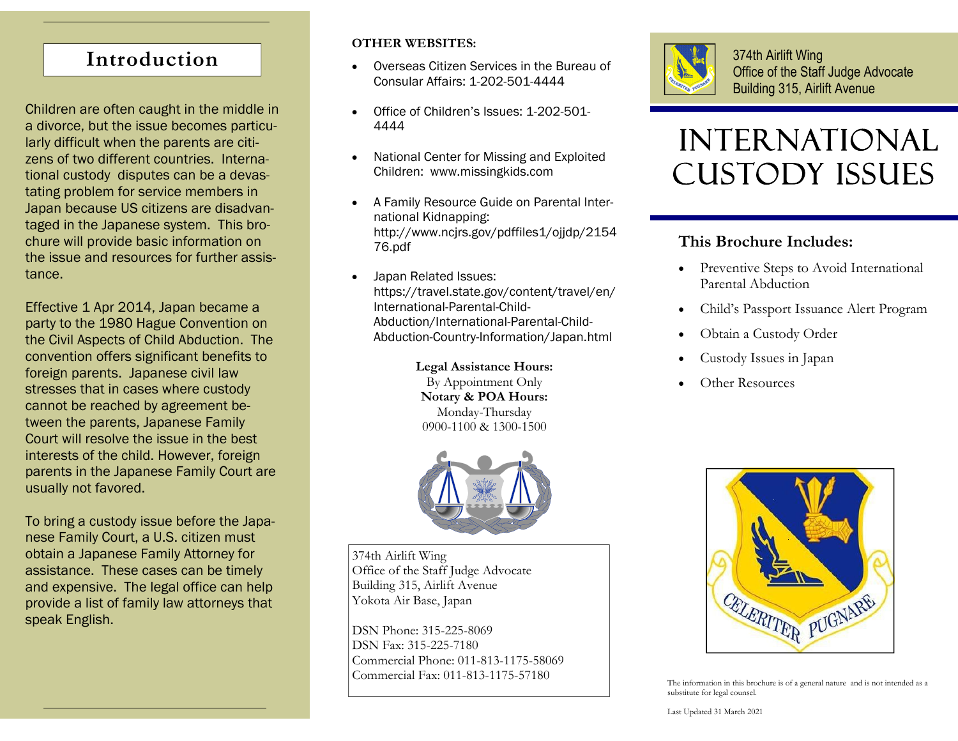# **Introduction**

Children are often caught in the middle in a divorce, but the issue becomes particularly difficult when the parents are citizens of two different countries. International custody disputes can be a devastating problem for service members in Japan because US citizens are disadvantaged in the Japanese system. This brochure will provide basic information on the issue and resources for further assistance.

Effective 1 Apr 2014, Japan became a party to the 1980 Hague Convention on the Civil Aspects of Child Abduction. The convention offers significant benefits to foreign parents. Japanese civil law stresses that in cases where custody cannot be reached by agreement between the parents, Japanese Family Court will resolve the issue in the best interests of the child. However, foreign parents in the Japanese Family Court are usually not favored.

To bring a custody issue before the Japanese Family Court, a U.S. citizen must obtain a Japanese Family Attorney for assistance. These cases can be timely and expensive. The legal office can help provide a list of family law attorneys that speak English.

#### **OTHER WEBSITES:**

- $\bullet$  Overseas Citizen Services in the Bureau of Consular Affairs: 1-202-501-4444
- $\bullet$  Office of Children's Issues: 1-202-501- 4444
- $\bullet$  National Center for Missing and Exploited Children: www.missingkids.com
- $\bullet$  A Family Resource Guide on Parental International Kidnapping: http://www.ncjrs.gov/pdffiles1/ojjdp/2154 76.pdf
- $\bullet$  Japan Related Issues: https://travel.state.gov/content/travel/en/ International-Parental-Child-Abduction/International-Parental-Child-Abduction-Country-Information/Japan.html

**Legal Assistance Hours:**  By Appointment Only **Notary & POA Hours:**  Monday-Thursday 0900-1100 & 1300-1500



374th Airlift Wing Office of the Staff Judge Advocate Building 315, Airlift Avenue Yokota Air Base, Japan

DSN Phone: 315-225-8069 DSN Fax: 315-225-7180 Commercial Phone: 011-813-1175-58069 Commercial Fax: 011-813-1175-57180



374th Airlift Wing Office of the Staff Judge Advocate Building 315, Airlift Avenue

# INTERNATIONAL Custody Issues

#### **This Brochure Includes:**

- Preventive Steps to Avoid International Parental Abduction
- $\bullet$ Child's Passport Issuance Alert Program
- $\bullet$ Obtain a Custody Order
- $\bullet$ Custody Issues in Japan
- $\bullet$ Other Resources



The information in this brochure is of a general nature and is not intended as a substitute for legal counsel.